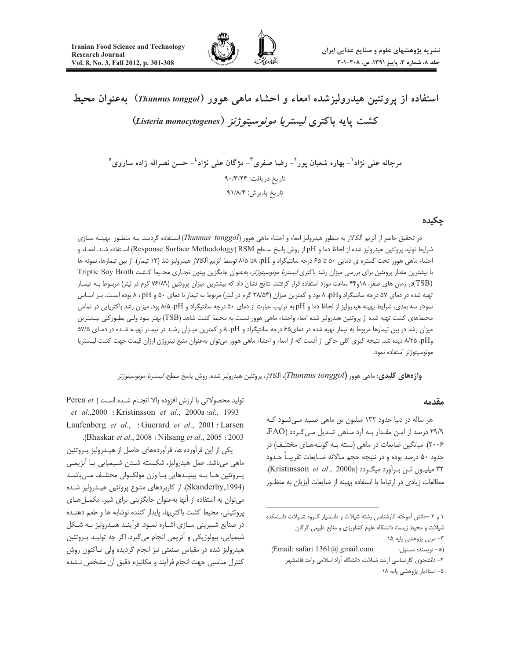

استفاده از پروتئین هیدرولیزشده امعاء و احشاء ماهی هوور (Thunnus tonggol) بهعنوان محیط كشت يايه باكترى ليستري*ا مونوسيتوژنز (Listeria monocytogenes*)

مرجانه على نژاد ٰ– بهاره شعبان يور ٚ– رضا صفرى ؓ– مژگان على نژاد ٔ– حسن نصراله زاده ساروى ْ تاريخ دريافت: ۰/٣/٢۴ تاريخ پذيرش: ۹۱/۸/۴

### حكىدە

در تحقیق حاضر از آنزیم آلکالاز به منظور هیدرولیز امعاء و احشاء ماهی هوور (Thunnus tonggol) استفاده گردیـد. بـه منظـور بهینـه سـازی شرايط توليد يروتئين هيدروليز شده از لحاظ دما و pH إز روش ياسخ سـطح Response Surface Methodology) RSM استفاده شـد. امعـاء و احشاء ماهی هوور تحت گستره ی دمایی ۵۰ تا ۶۵ درجه سانتیگراد و A/A ۸تا ۸/۵ توسط آنزیم آلکالاز هیدرولیز شد (۱۳ تیمار). از بین تیمارها، نمونه ها با بیشترین مقدار پروتئین برای بررسی میزان رشد باکتری *لیستریا مونوسیتوژنز*، بهعنوان جایگزین پپتون تجـاری محـیط کـشت Triptic Soy Broth (TSB)در زمان های صفر، ۱۸و۴۴ ساعت مورد استفاده قرار گرفتند. نتایج نشان داد که بیشترین میزان پروتئین (۷۶/۸۹ گرم در لیتر) مربوط بـه تیمـار تهیه شده در دمای ۵۷ درجه سانتیگراد وpH ۸ بود و کمترین میزان (۳۸/۵۴ گرم در لیتر) مربوط به تیمار با دمای ۵۰ و A ، pH بوده است. بـر اسـاس نمودار سه بعدی، شرایط بهینه هیدرولیز از لحاظ دما و pH به ترتیب عبارت از دمای ۵۰ درجه سانتیگراد و pH، ۸/۵ بود. میزان رشد باکتریایی در تمامی محیطهای کشت تهیه شده از پروتئین هیدرولیز شده امعاء واحشاء ماهی هوور نسبت به محیط کشت شاهد (TSB) بهتر بـود ولـی بطـور کلی بیـشترین میزان رشد در بین تیمارها مربوط به تیمار تهیه شده در دمای۶۵ درجه سانتیگراد و pH، ۸ و کمترین میـزان رشـد در تیمـار تهیـه شـده در دمـای ۵۷/۵ وA/۲۵ ،pH دیده شد. نتیجه گیری کلی حاکی از آنست که از امعاء و احشاء ماهی هوور می توان بهعنوان منبع نیتروژن ارزان قیمت جهت کشت لیـستریا مونوسيتوژنز استفاده نمود.

و**اژههای کلیدی**: ماهی هوور (Thunnus tonggol)، آلکالاز، پروتئین هیدرولیز شده، روش پاسخ سطح، *لیستریا مونوسیتوژنز* 

### مقدمه

هر ساله در دنیا حدود ۱۳۲ میلیون تن ماهی صـید مـی شـود کـه ۲۹/۹ درصد از ایـن مقـدار بـه آرد مـاهی تبـدیل مـی *گـ*ردد (FAO، ۲۰۰۶). میانگین ضایعات در ماهی (بسته بـه گونـههـای مختلـف) در حدود ۵۰ درصد بوده و در نتیجه حجم سالانه ضـایعات تقریبـاً حـدود ٣٢ ميليـون تـن بـرآورد ميگـردد (Kristinsson et al., 2000a). مطالعات زیادی در ارتباط با استفاده بهینه از ضایعات آبزیان به منظـور

۱ و ۲ –دانش آموخته کارشناسی رشته شیلات و دانـشیار گـروه شـیلات دانـشکده شیلات و محیط زیست دانشگاه علوم کشاورزی و منابع طبیعی گرگان ۳- مربی پژوهشی پایه ۱۵

(Email: safari 1361@ gmail.com (\*- نويسنده مسئول: ۴- دانشجوی کارشناسی ارشد شیلات، دانشگاه آزاد اسلامی واحد قائمشهر ۵– استادیار پژوهشی پایه ۱۸

تولید محصولاتی با ارزش افزوده بالا انجام شده است ( Perea et et al., 2000 : Kristinsson et al., 2000a tal., 1993 Laufenberg et al., : Guerard et al., 2001 : Larsen .(Bhaskar et al., 2008 : Nilsang et al., 2005 : 2003)

یکی از این فرآورده ها، فرآوردههای حاصل از هیـدرولیز پـروتئین ماهي مي باشد. عمل هيدروليز، شكسته شـدن شـيميايي يـا آنزيمـي پـروتئین هــا بــه پپتیــدهایی بــا وزن مولکــولی مختلــف مــیباشــد (Skanderby,1994). از کاربردهای متنوع پروتئین هیدرولیز شده می توان به استفاده از آنها به عنوان جایگزینی برای شیر، مکمل های پروتئيني، محيط كشت باكتريها، پايدار كننده نوشابه ها و طعم دهنـده در صنایع شـیرینی سـازی اشـاره نمـود. فرآینـد هیـدرولیز بـه شـکل شيميايي، بيولوژيکي و آنزيمي انجام مي گيرد. اگر چه توليـد پـروتئين هیدرولیز شده در مقیاس صنعتی نیز انجام گردیده ولی تـاکنون روش كنترل مناسبي جهت انجام فرآيند و مكانيزم دقيق آن مشخص نـشده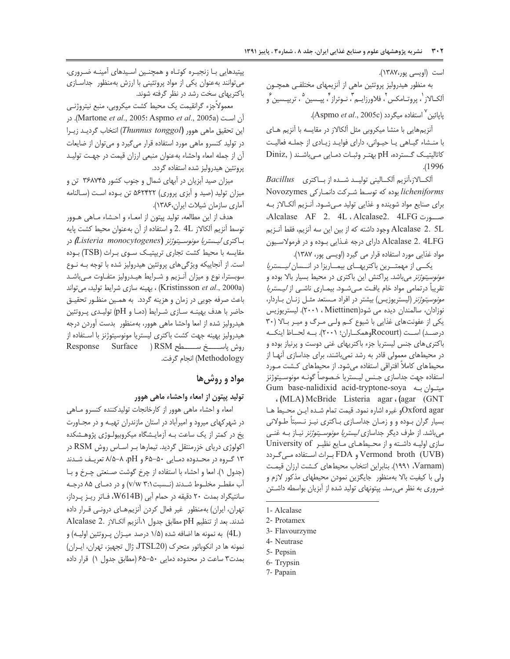است (اويسى پور،١٣٨٧).

به منظور هیدرولیز پروتئین ماهی از آنزیمهای مختلفی همچـون آلکـالاز`، پروتـامکس<sup>۲</sup>، فلاورزايــم۳، نـوتراز۴، پپــسين<sup>۹</sup>، تريپــسين <sup>۶</sup>و يايائين<sup>٧</sup> استفاده ميگردد (Aspmo *et al.*, 2005c).

آنزیمهایی با منشا میکروبی مثل آلکالاز در مقایسه با آنزیم هـای با منشاء گیاهی یا حیوانی، دارای فواید زیادی از جمله فعالیت Diniz, ) کاتالیتیک گسترده، pH بهتـر وثبـات دمـایی مـیباشـند .(1996).

آلكـالاز،آنزيم آلكـاليني توليـد شـده از بـاكترى Bacillus licheniforms بوده که توسط شرکت دانمارکی Novozymes برای صنایع مواد شوینده و غذایی تولید مهشود. آنـزیم آلکـالاز بـه مسورت Alcalase AF 2. 4L ، Alcalase2. 4LFG Alcalase 2. 5L وجود داشته كه از بين اين سه آنزيم، فقط آنـزيم Alcalase 2. 4LFG دارای درجه غـذایی بـوده و در فرمولاسـیون مواد غذایی مورد استفاده قرار می گیرد (اویسی پور، ۱۳۸۷).

یکهی از مهمترین باکتریهای بیماریزا در انسسان *لیستریا مونوسیتوژنز می*باشد. پراکنش این باکتری در محیط بسیار بالا بوده و تقریباً درتمامی مواد خام یافت مـیشـود. بیمـاری ناشـی از *لیـستریا مونوسيتوژنز* (ليستريوزيس) بيشتر در افراد مـستعد مثـل زنـان بـاردار، نوزادان، سالمندان ديده مي شود(Miettinen ، ٢٠٠١). ليستريوزيس یکی از عفونتهای غذایی با شیوع کم ولی مرگ و میر بالا (۳۰ درصـد) اسـت (Rocourtوهمكــاران؛ ۲۰۰۱). بــه لحــاظ اينكــه باکتری های جنس لیستریا جزء باکتریهای غنی دوست و پرنیاز بوده و در محیطهای معمولی قادر به رشد نمیباشند، برای جداسازی آنها از محیطهای کاملاً افتراقی استفاده می شود. از محیطهای کـشت مـورد استفاده جهت جداسازى جـنس ليـستريا خـصوصاً گونـه مونوسـيتوژنز Gum base-nalidixid acid-tryptone-soya ميتوان بـه Gum

. (MLA) McBride Listeria agar . (agar (GNT Oxford agarو غيره اشاره نمود. قيمت تمام شـده ايـن محـيط هـا بسیار گران بوده و و زمان جداسازی باکتری نیـز نـسبتاً طـولانی میباشد. از طرف دیگر جداسازی *لیستریا مونوسـیتوژنز* نیــاز بــه غنــی سازی اولیه داشته و از محیطهای مایع نظیر University of Vermond broth (UVB) و FDA براث استفاده میگردد (Varnam، ١٩٩١). بنابراين انتخاب محيطهاى كشت ارزان قيمت ولی با کیفیت بالا بهمنظور جایگزین نمودن محیطهای مذکور لازم و ضروری به نظر میرسد. پیتونهای تولید شده از آبزیان بواسطه داشـتن

7- Papain

پیتیدهایی بـا زنجیـره کوتـاه و همچنـین اسـیدهای آمینـه ضـروری، می توانند به عنوان یکی از مواد پروتئینی با ارزش به منظور جداسازی باکتریهای سخت رشد در نظر گرفته شوند.

معمولاًجزء گرانقیمت یک محیط کشت میکروبی، منبع نیتروژنـی آن است (Martone et al., 2005: Aspmo et al., 2005a). در این تحقیق ماهی هوور (Thunnus tonggol) انتخاب گردید زیرا در تولید کنسرو ماهی مورد استفاده قرار میگیرد و میتوان از ضایعات آن از جمله امعاء واحشاء بهعنوان منبعى ارزان قيمت در جهت توليد پروتئين هيدروليز شده استفاده گردد.

میزان صید آبزیان در آبهای شمال و جنوب کشور ۳۶۸۷۴۵ تن و میزان تولید (صید و آبزی پروری) ۵۶۲۴۲۲ تن بوده است (سالنامه آماری سازمان شیلات ایران، ۱۳۸۶).

هدف از این مطالعه، تولید پیتون از امعـاء و احـشاء مـاهی هــوور توسط آنزيم آلكالاز £4 .2 و استفاده از آن بهعنوان محيط كشت پايه باكترى *ليستريا مونوسـيتوژنز (Listeria monocytogenes)* در مقایسه با محیط کشت تجاری ترییتیک سوی براث (TSB) بوده است. از آنجاییکه ویژگی های پروتئین هیدرولیز شده با توجه بـه نـوع سوبسترا، نوع و میزان آنـزیم و شـرایط هیـدرولیز متفـاوت مـیباشـد (Kristinsson et al., 2000a) ، بهينه سازى شرايط توليد، مى تواند باعث صرفه جويي در زمان و هزينه گردد. به همين منظـور تحقيـق حاضر با هدف بهینــه سـازی شــرایط (دمـا و pH) تولیـدی پـروتئین هیدرولیز شده از امعا واحشا ماهی هوور، بهمنظور بدست آوردن درجه هیدرولیز بهینه جهت کشت باکتری لیستریا مونوسیتوژنز با اسـتفاده از Methodology) انجام گرفت.

# مواد و روش ها

### توليد پيتون از امعاء واحشاء ماهي هوور

امعاء و احشاء ماهی هوور از کارخانجات تولیدکننده کنسرو مـاهی در شهر کهای میرود و امیرآباد در استان مازندران تهیـه و در مجـاورت یخ در کمتر از یک ساعت بـه آزمایـشگاه میکروبیولـوژی پژوهـشکده اکولوژی دریای خزرمنتقل گردید. تیمارها بـر اسـاس روش RSM در ۱۳ گروه در محـدوده دمـایی ۵۰–۶۵ و pH، ۸-۵/۵ تعریـف شـدند (جدول ١). امعا و احشاء با استفاده از چرخ گوشت صنعتی چـرخ و بـا آب مقطـر مخلــوط شــدند (نــسبت٢:١ v/w) و در دمــاى ٨۵ درجــه سانتیگراد بمدت ٢٠ دقیقه در حمام آبي (W614B، فاتر ريز پرداز، تهران، ایران) بهمنظور غیر فعال کردن آنزیمهای درونے قـرار داده شدند. بعد از تنظيم pH مطابق جدول ١،أنزيم ألكالاز .Alcalase 2 (4L) به نمونه ها اضافه شده (۱/۵ درصد میـزان پـروتئین اولیـه) و نمونه ها در انكوباتور متحرك (JTSL20، ژال تجهیز، تهران، ایـران) بمدت٣ ساعت در محدوده دمایی ۵۰-۶۵ (مطابق جدول ١) قرار داده

<sup>1-</sup> Alcalase

<sup>2-</sup> Protamex

<sup>3-</sup> Flavourzyme

<sup>4-</sup> Neutrase

<sup>5-</sup> Pepsin

<sup>6-</sup> Trypsin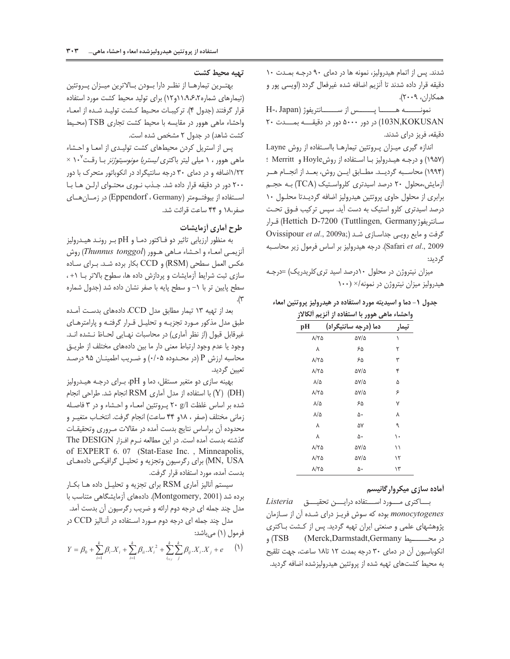شدند. پس از اتمام هیدرولیز، نمونه ها در دمای ۹۰ درجـه بمـدت ۱۰ دفیقه فرار داده شدند تا انزیم اضافه شده غیرفعال گردد (اویسی پور و همكاران، ٢٠٠٩).

 $H-$ ، Japan) نمونـــــــــه هـــــــــــا پــــــــس از ســـــــــانتريفوژ 20 W%%%F %%%P 5000 (103N,KOKUSAN دقیقه، فریز درای شدند.

اندازه گیری میـزان پـروتئین تیمارهـا بااسـتفاده از روش Layne (۱۹۵۷) و درجـه هیـدرولیز بـا اسـتفاده از روشHoyle و Merritt ؛ (۱۹۹۴) محاســبه گردیــد. مطــابق ایــن روش، بعــد از انجــام هــر آزمایش،محلول ۲۰ درصد اسیدتری کلرواستیک (TCA) بـه حجـم برابری از محلول حاوی پروتئین هیدرولیز اضافه گردیــدتا محلــول ۱۰ درصد اسیدتری کلرو استیک به دست آید. سپس ترکیب فـوق تحـت سانتريفوژHettich D-7200 (Tuttlingen, Germany) قـرار Ovissipour et al., 2009a;) گرفت و مایع رویبی جداسازی شد Safari et al., 2009). درجه هيدروليز بر اساس فرمول زير محاسبه گر دید:

میزان نیتروژن در محلول ۱۰درصد اسید تری کلریدریک) =درجـه هیدرولیز میزان نیتروژن در نمونه/× (١٠٠

# حدول ( – دما و اسیدیته مورد استفاده در هیدرولیز بروتئین امعاء

<u>واحشاء ماهي هوور يا استفاده از آنزيہ آلکالا:</u>

| pН                   | دما (درجه سانتيگراد) | تىما, |
|----------------------|----------------------|-------|
| ۸/۲۵                 | <b>AY/4</b>          | ١     |
| ٨                    | ۶۵                   | ٢     |
| $\lambda/\tau$ ۵     | ۶۵                   | ٣     |
| $\lambda/\tau\Delta$ | ۵۷/۵                 | ۴     |
| $\lambda/\Delta$     | $\Delta V/\Delta$    | ۵     |
| <b>N/TQ</b>          | <b>AY/4</b>          | ۶     |
| $\lambda/\Delta$     | ۶۵                   | ٧     |
| $\lambda/\Delta$     | ۵٠                   | ٨     |
| ٨                    | ۵۷                   | ٩     |
| ٨                    | ۵٠                   | ١.    |
| $\lambda/\tau$ ۵     | 57/5                 | ۱۱    |
| $\lambda/\tau\Delta$ | <b>DY/0</b>          | ۱۲    |
| ۸/۲۵                 | ۵٠                   | ۱۳    |

# .<br>أماده سازی میک ول گانیسم

*Listeria* -بســـاكترى مـــــورد اســــتفاده درايـــــن تحقيــــق monocytogenes بوده كه سوش فريـز دراي شـده آن از سـازمان پژوهشهای علمی و صنعتی ایران تهیه گردید. پس از کـشت بـاکتری در محـــــــيط TSB (Merck,Darmstadt,Germany) و انکوباسیون آن در دمای ۳۰ درجه بمدت ۱۲ تا۱۸ ساعت، جهت تلقیح به محیط کشتهای تهیه شده از پروتئین هیدرولیزشده اضافه کردید.<br>.

### تهيه محيط كشت

بهتــرين تيمارهــا از نظــر دارا بــودن بــالاترين ميــزان پــروتئين (تیمارهای شماره۱۱،۹،۶٬۲ و۱۲) برای تولید محیط کشت مورد استفاده قرار گرفتند (جدول ۴). تركيبـات محـيط كـشت توليـد شـده از امعـاء واحشاء ماهى هوور در مقايسه با محيط كشت تجارى TSB (محيط كشت شاهد) در جدول ٢ مشخص شده است.

پس از استریل کردن محیطهای کشت تولیـدی از امعـا و احـشاء ماهی هوور ، ۱ میلی لیتر باکتری *لیستریا مونوسیتوژنز* بـا رقـت°۱۰ × ۱/۲۲اضافه و در دمای ۳۰ درجه سانتیگراد در انکوباتور متحرک با دور ٢٠٠ دور در دقيقه قرار داده شد. جـذب نـوري محتـواي ارلـن هـا بـا استفاده از بیوفتومتر (Eppendorf ، Germany) در زمــان هــای صفر،١٨ و ۴۴ ساعت قرائت شد.

# **ط ح أماري أزمايشات**

به منظور ارزیابی تاثیر دو فـاکتور دمـا و pH بـر رونـد هیـدرولیز أنزيمـي امعـاء و احـشاء مـاهي هـوور (*Thunnus tonggol)* روش عكس العمل سطحى (RSM) و CCD بكار برده شـد. بـراى سـاده سازی ثبت شرایط آزمایشات و پردازش داده ها، سطوح بالاتر با (+، سطح پایین تر با ١- و سطح پایه با صفر نشان داده شد (جدول شماره  $\cdot$  ( $\tilde{v}$ 

بعد از تهیه ۱۳ تیمار مطابق مدل CCD، دادههای بدست آمـده طبق مدل مدکور مـورد تجزیــه و تحلیــل فــرار گرفتــه و پارامترهــای غیرقابل قبول (از نظر آماری) در محاسبات نهـایی لحـاظ نـشده انـد. وجود یا عدم وجود ارتباط معنی دار ما بین دادههای مختلف از طریــق محاسبه ارزش P (در محـدوده ۰/۰۵) و ضـریب اطمینـان ۹۵ درصـد تعيين گرديد.

بهینه سازی دو متغیر مستقل، دما و pH، بـرای درجـه هیـدرولیز انجام شد. طراحی انجام (X) (PH) با استفاده از مدل آماری RSM شده بر اساس غلظت 1/g ۲۰ پـروتئین امعـاء و احـشاء و در ۳ فاصـله زمانی مختلف (صفر ، ١٨و ۴۴ ساعت) انجام گرفت. انتخـاب متغيـر و محدوده أن براساس نتايج بدست آمده در مقالات مـروري وتحقيقـات كذشته بدست آمده است. در اين مطالعه نـرم افـزار The DESIGN of EXPERT 6. 07 (Stat-Ease Inc. , Minneapolis, برای رگرسیون وتجزیه و تحلیـل گرافیکـی دادههـای (MN, USA بدست آمده، مورد استفاده قرار گرفت.

سیستم آنالیز آماری RSM برای تجزیه و تحلیـل داده هـا بكـار برده شد (Montgomery, 2001). دادههای آزمایشگاهی متناسب با مدل چند جمله ای درجه دوم ارائه و ضریب رگرسیون ان بدست امد. مدل چند جمله ای درجه دوم مــورد اســتفاده در آنــاليز CCD در فرمول (١) مے باشد:

$$
Y = \beta_0 + \sum_{i=1}^k \beta_i . X_i + \sum_{i=1}^k \beta_{ii} . X_i^2 + \sum_{i_{i \le j}}^k \sum_{j}^k \beta_{ij} . X_i . X_j + e \qquad (1)
$$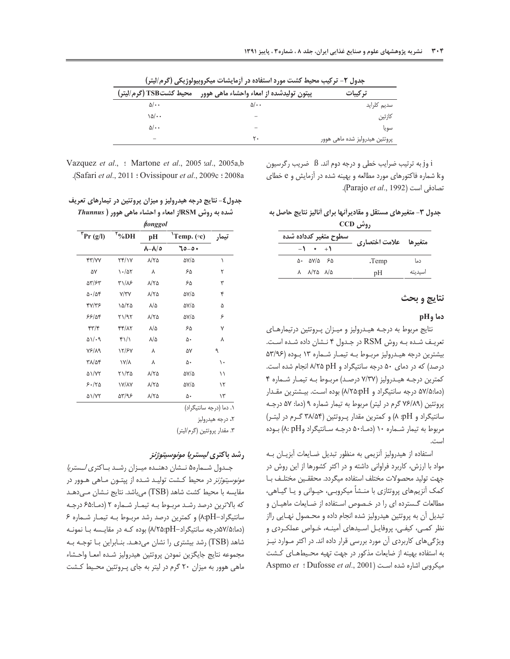|                        | --                                       |                                |
|------------------------|------------------------------------------|--------------------------------|
| محيط كشتTSB (گرم/ليتر) | پپتون تولیدشده از امعاء واحشاء ماهی هوور | تركيبات                        |
| $\Delta/\cdot$         | $\Delta/\cdot$                           | سديم كلرايد                    |
| ۱۵/۰۰                  |                                          | كازئين                         |
| $\Delta/\cdot$ .       |                                          | سويا                           |
|                        | ۲.                                       | پروتئین هیدرولیز شده ماهی هوور |

جدول ۲- ترکیب محیط کشت مورد استفاده در آزمایشات میکروبیولوژیکی (گرم/لیتر)

i وj به ترتیب ضرایب خطی و درجه دوم اند. ß ضریب رگرسیون وk شماره فاکتورهای مورد مطالعه و بهینه شده در آزمایش و e خطای .<br>تصادفی است (Parajo et al., 1992).

# جدول ۳- متغیرهای مستقل و مقادیرأنها برای أنالیز نتایج حاصل به

| روس CCD                                                         |                       |        |  |
|-----------------------------------------------------------------|-----------------------|--------|--|
| سطوح متغير كدداده شده                                           | متغيرها علامت اختصاري |        |  |
| $-1$ + $+1$                                                     |                       |        |  |
| $\Delta$ . $\Delta V/\Delta$ $\epsilon$ $\Delta$                | Temp.                 | دما    |  |
| $\lambda$ $\lambda$ / $\lambda$ $\lambda$ $\lambda$ / $\lambda$ | pΗ                    | سىدىتە |  |

#### نتايج و بحث

### $pH_9$  دما

نتايج مربوط به درجـه هيـدروليز و ميـزان پـروتئين درتيمارهـاى تعریـف شـده بـه روش RSM در جـدول ۴ نـشان داده شـده اسـت. بیشترین درجه هیـدرولیز مربـوط بـه تیمـار شـماره ١٣ بـوده (٥٣/٩۶ درصد) که در دمای ۵۰ درجه سانتیگراد و A/۲۵ pH انجام شده است. کمترین درجـه هیـدرولیز (۷/۳۷ درصـد) مربـوط بـه تیمـار شـماره ۴ (دما:۵۷/۵ درجه سانتیگراد و ۸/۲۵:pH) بوده است. بیشترین مقدار پروتئین (۷۶/۸۹ گرم در لیتر) مربوط به تیمار شماره ۹ (دما: ۵۷ درجـه سانتیگراد و pH: ۸) و کمترین مقدار پروتئین (۳۸/۵۴ گـرم در لیتـر) مربوط به تیمار شـماره ۱۰ (دمـا:۵۰ درجـه سـانتیگراد وA: pH) بـوده است.

استفاده از هیدرولیز آنزیمی به منظور تبدیل ضـایعات آبزیـان بـه مواد با ارزش، كاربرد فراوانى داشته و در اكثر كشورها از اين روش در جهت توليد محصولات مختلف استفاده ميگردد. محققـين مختلـف بـا کمک آنزیمهای پروتئازی با منــشأ میکروبـی، حیــوانی و یــا گیــاهی، مطالعات گـسترده ای را در خـصوص اسـتفاده از ضـایعات ماهیـان و تبدیل آن به پروتئین هیدرولیز شده انجام داده و محـصول نهـایی رااز نظر کمی، کیفی، پروفایـل اسـیدهای آمینـه، خـواص عملکـردی و ویژگی های کاربردی آن مورد بررسی قرار داده اند. در اکثر مـوارد نیـز به استفاده بهینه از ضایعات مذکور در جهت تهیه محیطهای کشت Aspmo et : Dufosse et al., 2001) شده است (Aspmo et : Dufosse et al., 2001

Vazquez et al., : Martone et al., 2005 : al., 2005a, b .(Safari et al., 2011 : Ovissipour et al., 2009c : 2008a

### جدول٤- نتايج درجه هيدروليز و ميزان پروتئين در تيمارهاي تعريف شده به روش RSMاز امعاء و احشاء ماهی هوور ( *Thunnus*

|                        |                     | ftonggol                 |                         |            |
|------------------------|---------------------|--------------------------|-------------------------|------------|
| $\int Pr(g/I)$         | $"^{\circ}\%$ DH    | pH                       | <sup>1</sup> Temp. (oc) | تىما,      |
|                        |                     | $\lambda-\lambda/\circ$  | +٥–٥٥                   |            |
| <b>۴۳/۷۷</b>           | ۲۴/۱۷               | $\lambda/\Upsilon\Delta$ | AV/A                    | ١          |
| ۵٧                     | $\cdot$ /۵۲         | ٨                        | ۶۵                      | ۲          |
| 55/65                  | ۳۱/۸۶               | ۸/۲۵                     | ۶۵                      | ٣          |
| $\Delta$ ./ $\Delta$ ۴ | Y/YY                | ۸/۲۵                     | AV/A                    | ۴          |
| 47/48                  | ۱۵/۲۵               | $\lambda/\Delta$         | AV/A                    | ۵          |
| ۶۶/۵۴                  | ۲۱/۹۲               | ۸/۲۵                     | AV/A                    | ۶          |
| 47/8                   | 44/17               | ۸/۵                      | ۶۵                      | ٧          |
| $\Delta \sqrt{3}$      | $f\$                | ۸/۵                      | ۵٠                      | ٨          |
| <b>VS/19</b>           | 12/۶۷               | ٨                        | ۵۷                      | ٩          |
| ۳۸/۵۴                  | <b>۱۷/۸</b>         | ٨                        | ۵٠                      | ۱.         |
| <b>AI/YY</b>           | ۲۱/۳۵               | ۸/۲۵                     | AV/A                    | ۱۱         |
| 5.180                  | <b><i>IV/AY</i></b> | ۸/۲۵                     | AV/A                    | ۱۲         |
| ۵۱/۷۲                  | 59/98               | ۸/۲۵                     | ۵۰                      | ۱۳         |
|                        |                     |                          | $11 \leqslant 1$        | $\sqrt{1}$ |

۱. دما (درجه سانتیگراد)

۲. درجه هیدرولیز

٣. مقدار پروتئين (گرم/ليتر)

### رشد باكترى *ليستريا مونوسيتوژنز*

جـدول شــماره۵ نــشان دهنــده میــزان رشــد بــاکتری *لــستریا مونوسیتوژنز* در محیط کشت تولیـد شـده از پپتـون مـاهی هـوور در مقایسه با محیط کشت شاهد (TSB) میباشد. نتایج نـشان مـیدهـد كه بالاترين درصد رشد مربوط به تيمار شماره ٢ (دما:۶۵ درجه سانتیگراد-۸:pH) و کمترین درصد رشد مربوط به تیمار شماره ۶ (دما:۵۷/۵درجه سانتیگراد-A/۲۵:pH) بوده کـه در مقایـسه بـا نمونـه شاهد (TSB) رشد بیشتری را نشان می دهـد. بنـابراین بـا توجـه بـه مجموعه نتايج جايگزين نمودن يروتئين هيدروليز شـده امعـا واحـشاء ماهی هوور به میزان ۲۰ گرم در لیتر به جای پروتئین محیط کشت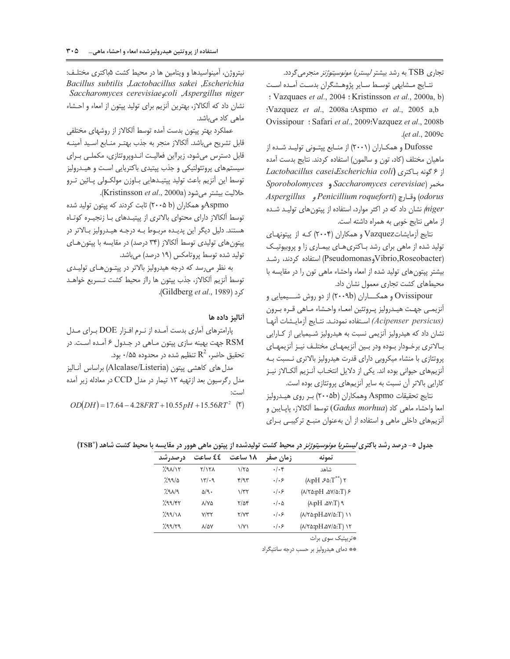تجاری TSB به رشد بیشتر *لیستریا مونوسیتوژنز* منجرمی گردد.

نتـايج مــشابهي توســط ســاير پژوهــشگران بدســت أمــده اســت : Vazquaes et al., 2004 : Kristinsson et al., 2000a, b) :Vazquez et al., 2008a :Aspmo et al., 2005 a,b Ovissipour: Safari et al., 2009: Vazquez et al., 2008b .(et al., 2009c

Dufosse و همکـاران (۲۰۰۱) از منـابع پیتـونی تولیـد شـده از ماهیان مختلف (کاد، تون و سالمون) استفاده کردند. نتایج بدست آمده از ۶ گونه باکتری (Lactobacillus casei،Escherichia coli Sporobolomyces و Saccharomyces ( odorus) وقيارچ (Penicillium roqueforti و Aspergillus niger/ نشان داد که در اکثر موارد، استفاده از پیتونهای تولید شده از ماهی نتایج خوبی به همراه داشته است.

نتايج آزمايشاتVazquez و همكاران (۲۰۰۴) كـه از پيتونهـاى تولید شده از ماهی برای رشد باکتری های بیماری زا و پروبیوتیک (Pseudomonas<sub>g</sub>Vibrio,Roseobacter) استفاده کردند، رشـد بیشتر پیتون های تولید شده از امعاء واحشاء ماهی تون را در مقایسه با محیطهای کشت تجاری معمول نشان داد.

Ovissipour و همکـــاران (۲۰۰۹b) از دو روش شـــيميايي و أنزيمـي جهـت هيــدروليز پــروتئين امعــاء واحــشاء مــاهي قــره بــرون (Acipenser persicus) استفاده نمودند. نتايج أزمايشات أنها نشان داد که هیدرولیز آنزیمی نسبت به هیدرولیز شـیمیایی از کـارایی بـالاترى برخـودار بـوده ودر بـين آنزيمهـاى مختلـف نيـز آنزيمهـاى یروتئازی با منشاء میکروبی دارای قدرت هیدرولیز بالاتری نـسبت بـه آنزیمهای حیوانی بوده اند. یکی از دلایل انتخـاب آنـزیم آلکـالاز نیـز كارايي بالاتر آن نسبت به ساير آنزيمهاي پروتئازي بوده است.

نتايج تحقيقات Aspmo وهمكاران (۲۰۰۵b) بر روى هيـدروليز امعا واحشاء ماهی کاد (Gadus morhua) توسط آلکالاز، پایـایبن و آنزیمهای داخلی ماهی و استفاده از آن بهعنوان منبـع ترکیبـی بـرای

نیتروژن، آمینواسیدها و ویتامین ها در محیط کشت ۵باکتری مختلـف: Bacillus subtilis ,Lactobacillus sakei ,Escherichia Saccharomyces cerevisiae,coli ,Aspergillus niger نشان داد که آلکالاز، بهترین آنزیم برای تولید پپتون از امعاء و احشاء ماهی کاد میباشد.

عملكرد بهتر پيتون بدست آمده توسط آلكالاز از روشهاى مختلفى قابل تشريح مىباشد. آلكالاز منجر به جذب بهتـر منـابع اسـيد آمينـه قابل دسترس می شود، زیرااین فعالیت انـدوپروتئازی، مکملـی بـرای سیستمهای پروتئولتیکی و جذب پیتیدی باکتریایی است و هیـدرولیز توسط این آنزیم باعث تولید پپتیـدهایی بـاوزن مولکـولی پـائین تـرو حلاليت بيشتر مى شود (Kristinsson et al., 2000a).

Aspmoو همکاران (۲۰۰۵ b) ثابت کردند که پیتون تولید شده توسط ألكالاز داراي محتواي بالاتري از پپتيـدهاي بـا زنجيـره كوتـاه هستند. دلیل دیگر این پدیـده مربـوط بـه درجـه هیـدرولیز بـالاتر در پپتون های تولیدی توسط آلکالاز (۳۴ درصد) در مقایسه با پپتون های تولید شده توسط پروتامکس (۱۹ درصد) میباشد.

به نظر می رسد که درجه هیدرولیز بالاتر در پیتون هـای تولیـدی توسط آنزيم آلكالاز، جذب پيتون ها رااز محيط كشت تـسريع خواهـد کرد (Gildberg et al., 1989).

#### أناليز داده ها

پارامترهای آماری بدست آمـده از نـرم افـزار DOE بـرای مـدل RSM جهت بهينه سازي پيتون مـاهي در جـدول ۶ آمـده اسـت. در تحقيق حاضر،  $\mathrm{R}^2$  تنظيم شده در محدوده ۰/۵۵ بود.

مدل های کاهشی پیتون (Alcalase/Listeria) براساس آنالیز مدل رگرسیون بعد ازتهیه ۱۳ تیمار در مدل CCD در معادله زیر آمده است:

 $OD(DH) = 17.64 - 4.28FRT + 10.55pH + 15.56RT^2$  (\*)

جدول ٥- درصد رشد باكترى *ليستريا مونوسيتوژنز* در محيط كشت توليدشده از پيتون ماهي هوور در مقايسه با محيط كشت شاهد (°TSB)

| نمونه                                                   | زمان صفر             | ۱۸ ساعت       | ٤٤ ساعت            | درصدرشد |
|---------------------------------------------------------|----------------------|---------------|--------------------|---------|
| شاهد                                                    | $\cdot/\cdot$ ۴      | ۱/۲۵          | $Y/Y\Lambda$       | 290/15  |
| $(\lambda : pH \mathcal{S} \Delta : T^{**})$ $\gamma$   | .   . 5              | f/T           | 14/4               | 7.99/2  |
| $(\lambda/\Upsilon\omega: pH \omega/\omega:T)$          | .   . 5              | $\gamma/\tau$ | $\Delta$ /9.       | 7.91/9  |
| P(T:VA, Hq:A)                                           | $\cdot/\cdot \Delta$ | $\frac{8}{4}$ | <b>A/VA</b>        | 799/97  |
| $(N \land \land pH \land \lor \land \land T)$ ) )       | .   . 5              | Y/YY          | V/YY               | 299/11  |
| $(N \land \land pH \land \lor \land r)$ ) $\land \land$ | .   . 5              | $\sqrt{V}$    | $\lambda/\Delta V$ | 7.99/79 |

\*\* دمای هیدرولیز بر حسب درجه سانتیگراد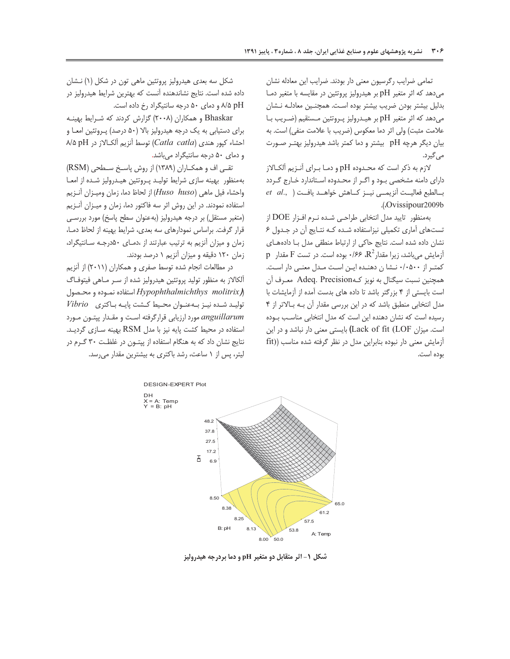تمامی ضرایب رگرسیون معنی دار بودند. ضرایب این معادله نشان می دهد که اثر متغیر pH بر هیدرولیز پروتئین در مقایسه با متغیر دمـا بدلیل بیشتر بودن ضریب بیشتر بوده است. همچنین معادلـه نـشان میدهد که اثر متغیر pH بر هیـدرولیز پـروتئین مـستقیم (ضـریب بـا علامت مثبت) ولي اثر دما معكوس (ضريب با علامت منفي) است. به بیان دیگر هرچه pH بیشتر و دما کمتر باشد هیدرولیز بهتـر صـورت می گیرد.

لازم به ذکر است که محـدوده pH و دمــا بــراى آنــزيم آلکــالاز دارای دامنه مشخصی بود و اگر از محدوده استاندارد خارج گردد  $et \ al.,$ ) بالطبع فعاليــت آنزيمــى نيــز كـاهش خواهــد يافــت .(Ovissipour2009b

به منظور تایید مدل انتخابی طراحی شـده نـرم افـزار DOE از تستهای آماری تکمیلی نیزاستفاده شـده کـه نتـایج آن در جـدول ۶ نشان داده شده است. نتایج حاکی از ارتباط منطقی مدل با دادههای  $\rm p$  آزمایش میباشد، زیرا مقدار $\rm R^2$ ،  $\rm R^2$ ۰/۶۶ بوده است. در تست  $\rm F$  مقدار كمتـر از ٠٠٥٠٠٠ نـشا ن دهنـده ايـن اسـت مـدل معنـى دار اسـت. همچنین نسبت سیگنال به نویز ک4Odeq. Precision معـرف آن است بایستی از ۴ بزرگتر باشد تا داده های بدست آمده از آزمایشات با مدل انتخابی منطبق باشد که در این بررسی مقدار آن بـه بـالاتر از ۴ رسیده است که نشان دهنده این است که مدل انتخابی مناسب بـوده است. میزان Lack of fit (LOF) بایستی معنی دار نباشد و در این آزمایش معنی دار نبوده بنابراین مدل در نظر گرفته شده مناسب ((fit بوده است.

شکل سه بعدی هیدرولیز پروتئین ماهی تون در شکل (۱) نـشان داده شده است. نتایج نشاندهنده آنست که بهترین شرایط هیدرولیز در A/۵ pH و دمای ۵۰ درجه سانتیگراد رخ داده است.

Bhaskar و همكاران (۲۰۰۸) گزارش كردند كه شـرايط بهينـه برای دستیابی به یک درجه هیدرولیز بالا (۵۰ درصد) پـروتئین امعـا و  $\land$ ا احشاء كيور هندي (Catla catla) توسط آنزيم آلكـالاز در pH ۱/۵ و دمای ۵۰ درجه سانتیگراد میباشد.

تقے اف و همکـاران (۱۳۸۹) از روش پاسـخ ســطحى (RSM) بهمنظور بهينه سازى شرايط توليد پروتئين هيدروليز شده از امعا واحشاء فيل ماهي (Huso huso) از لحاظ دما، زمان وميـزان آنـزيم استفاده نمودند. در این روش اثر سه فاکتور دما، زمان و میـزان آنـزیم (متغیر مستقل) بر درجه هیدرولیز (بهعنوان سطح یاسخ) مورد بررسے قرار گرفت. براساس نمودارهای سه بعدی، شرایط بهینه از لحاظ دمـا، زمان و میزان آنزیم به ترتیب عبارتند از ،دمای ۵۰درجه سانتیگراد، زمان ۱۲۰ دقیقه و میزان آنزیم ۱ درصد بودند.

در مطالعات انجام شده توسط صفری و همکاران (۲۰۱۱) از آنزیم آلکالاز به منظور تولید پروتئین هیدرولیز شده از سـر مـاهی فیتوفـاگ استفاده نمـوده و محـصول Hypophthalmichthys molitrix $\lambda$  $Vibrio$  تولید شده نیـز بـهعنـوان محـیط کـشت پایـه بـاکترى anguillarum مورد ارزيابي قراركرفته است و مقدار پيتون مورد استفاده در محیط کشت پایه نیز با مدل RSM بهینه سازی گردید. نتایج نشان داد که به هنگام استفاده از پپتون در غلظت ۳۰ گـرم در لیتر، پس از ١ ساعت، رشد باكترى به بیشترین مقدار می رسد.



شکل ۱- اثر متقابل دو متغیر pH و دما بردرجه هیدرولیز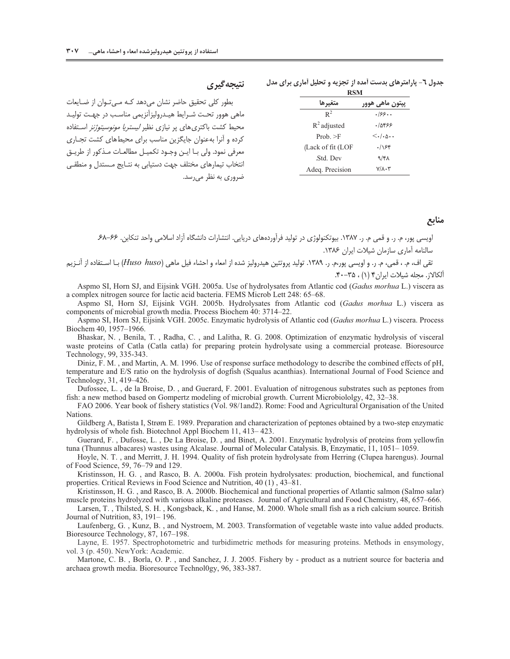| RSM               |                                   |  |
|-------------------|-----------------------------------|--|
| متغيرها           | يپتون ماهي هوور                   |  |
| $R^2$             | .188                              |  |
| $R^2$ adjusted    | ۰/۵۴۶۶                            |  |
| Prob. >F          | $\langle . . \rangle \cdot \cdot$ |  |
| (Lack of fit (LOF | .188                              |  |
| Std. Dev.         | ۹/۴۸                              |  |
| Adea Precision    | $Y/\lambda \cdot Y$               |  |

جدول ٦- پارامترهای بدست آمده از تجزیه و تحلیل آماری برای مدل

## نتيجه گيري

بطور کلی تحقیق حاضر نشان می دهد کـه مــ تـوان از ضـایعات ماهی هوور تحت شـرایط هیـدرولیزآنزیمی مناسـب در جهـت تولیـد محیط کشت باکتری های پر نیازی نظیر *لیستریا مونوسیتوژنز* استفاده کرده و آنرا به عنوان جایگزین مناسب برای محیطهای کشت تجـاری معرفي نمود. ولي بــا ايــن وجــود تكميــل مطالعــات مــذكور از طريــق انتخاب تیمارهای مختلف جهت دستیابی به نتـایج مـستدل و منطقـی ضروری به نظر میرسد.

## منابع

اویسی پور، م. ر. و قمی م. ر. ۱۳۸۷. بیوتکنولوژی در تولید فرآوردههای دریایی. انتشارات دانشگاه آزاد اسلامی واحد تنکابن. ۶۶–۶۸. سالنامه آماری سازمان شیلات ایران ۱۳۸۶.

.<br>تقی اف، م. ، قمی، م. ر. و اویسی پور،م. ر. ۱۳۸۹. تولید پروتئین هیدرولیز شده از امعاء و احشاء فیل ماهی (*Huso huso)* بـا اسـتفاده از آنــزیم آلكالاز. مجله شيلات ايران ۴ (١) ، ٣٥-۴٠.

Aspmo SI, Horn SJ, and Eijsink VGH. 2005a. Use of hydrolysates from Atlantic cod (Gadus morhua L.) viscera as a complex nitrogen source for lactic acid bacteria. FEMS Microb Lett 248: 65–68.

Aspmo SI, Horn SJ, Eijsink VGH. 2005b. Hydrolysates from Atlantic cod (Gadus morhua L.) viscera as components of microbial growth media. Process Biochem 40: 3714-22.

Aspmo SI, Horn SJ, Eijsink VGH. 2005c. Enzymatic hydrolysis of Atlantic cod (Gadus morhua L.) viscera. Process Biochem 40, 1957-1966.

Bhaskar, N., Benila, T., Radha, C., and Lalitha, R. G. 2008. Optimization of enzymatic hydrolysis of visceral waste proteins of Catla (Catla catla) for preparing protein hydrolysate using a commercial protease. Bioresource Technology, 99, 335-343.

Diniz, F. M., and Martin, A. M. 1996. Use of response surface methodology to describe the combined effects of pH, temperature and E/S ratio on the hydrolysis of dogfish (Squalus acanthias). International Journal of Food Science and Technology, 31, 419-426.

Dufossee, L., de la Broise, D., and Guerard, F. 2001. Evaluation of nitrogenous substrates such as peptones from fish: a new method based on Gompertz modeling of microbial growth. Current Microbiololgy, 42, 32–38.

FAO 2006. Year book of fishery statistics (Vol. 98/1and2). Rome: Food and Agricultural Organisation of the United Nations.

Gildberg A, Batista I, Strøm E. 1989. Preparation and characterization of peptones obtained by a two-step enzymatic hydrolysis of whole fish. Biotechnol Appl Biochem 11, 413–423.

Guerard, F., Dufosse, L., De La Broise, D., and Binet, A. 2001. Enzymatic hydrolysis of proteins from yellowfin tuna (Thunnus albacares) wastes using Alcalase. Journal of Molecular Catalysis. B, Enzymatic, 11, 1051–1059.

Hoyle, N. T., and Merritt, J. H. 1994. Quality of fish protein hydrolysate from Herring (Clupea harengus). Journal of Food Science, 59, 76-79 and 129.

Kristinsson, H. G., and Rasco, B. A. 2000a. Fish protein hydrolysates: production, biochemical, and functional properties. Critical Reviews in Food Science and Nutrition, 40 (1), 43–81.

Kristinsson, H. G., and Rasco, B. A. 2000b. Biochemical and functional properties of Atlantic salmon (Salmo salar) muscle proteins hydrolyzed with various alkaline proteases. Journal of Agricultural and Food Chemistry, 48, 657–666.

Larsen, T., Thilsted, S. H., Kongsback, K., and Hanse, M. 2000. Whole small fish as a rich calcium source. British Journal of Nutrition, 83, 191-196.

Laufenberg, G., Kunz, B., and Nystroem, M. 2003. Transformation of vegetable waste into value added products. Bioresource Technology, 87, 167-198.

Layne, E. 1957. Spectrophotometric and turbidimetric methods for measuring proteins. Methods in ensymology, vol. 3 (p. 450). New York: Academic.

Martone, C. B., Borla, O. P., and Sanchez, J. J. 2005. Fishery by - product as a nutrient source for bacteria and archaea growth media. Bioresource Technology, 96, 383-387.